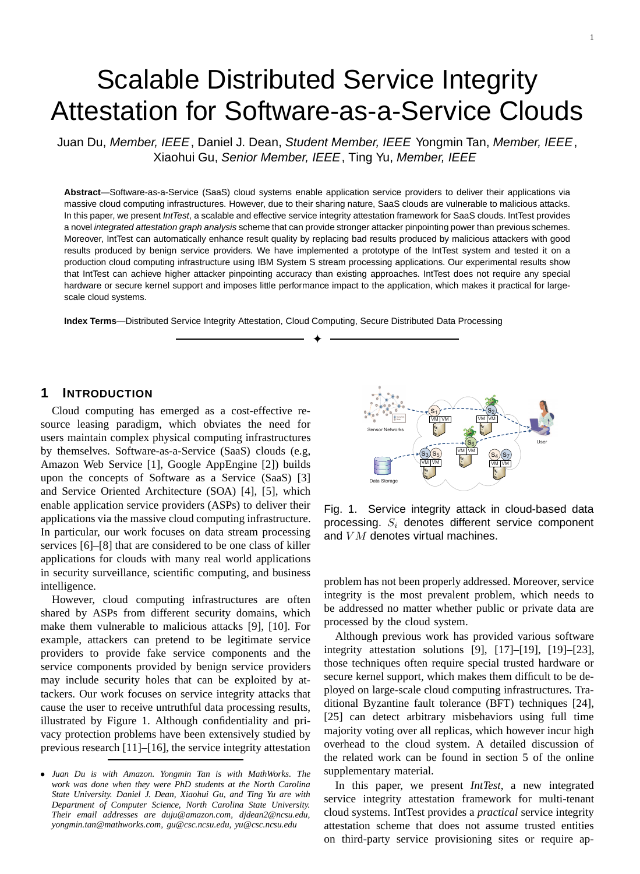# Scalable Distributed Service Integrity Attestation for Software-as-a-Service Clouds

Juan Du, Member, IEEE, Daniel J. Dean, Student Member, IEEE Yongmin Tan, Member, IEEE, Xiaohui Gu, Senior Member, IEEE, Ting Yu, Member, IEEE

**Abstract**—Software-as-a-Service (SaaS) cloud systems enable application service providers to deliver their applications via massive cloud computing infrastructures. However, due to their sharing nature, SaaS clouds are vulnerable to malicious attacks. In this paper, we present IntTest, a scalable and effective service integrity attestation framework for SaaS clouds. IntTest provides a novel integrated attestation graph analysis scheme that can provide stronger attacker pinpointing power than previous schemes. Moreover, IntTest can automatically enhance result quality by replacing bad results produced by malicious attackers with good results produced by benign service providers. We have implemented a prototype of the IntTest system and tested it on a production cloud computing infrastructure using IBM System S stream processing applications. Our experimental results show that IntTest can achieve higher attacker pinpointing accuracy than existing approaches. IntTest does not require any special hardware or secure kernel support and imposes little performance impact to the application, which makes it practical for largescale cloud systems.

✦

**Index Terms**—Distributed Service Integrity Attestation, Cloud Computing, Secure Distributed Data Processing

## **1 INTRODUCTION**

Cloud computing has emerged as a cost-effective resource leasing paradigm, which obviates the need for users maintain complex physical computing infrastructures by themselves. Software-as-a-Service (SaaS) clouds (e.g, Amazon Web Service [1], Google AppEngine [2]) builds upon the concepts of Software as a Service (SaaS) [3] and Service Oriented Architecture (SOA) [4], [5], which enable application service providers (ASPs) to deliver their applications via the massive cloud computing infrastructure. In particular, our work focuses on data stream processing services [6]–[8] that are considered to be one class of killer applications for clouds with many real world applications in security surveillance, scientific computing, and business intelligence.

However, cloud computing infrastructures are often shared by ASPs from different security domains, which make them vulnerable to malicious attacks [9], [10]. For example, attackers can pretend to be legitimate service providers to provide fake service components and the service components provided by benign service providers may include security holes that can be exploited by attackers. Our work focuses on service integrity attacks that cause the user to receive untruthful data processing results, illustrated by Figure 1. Although confidentiality and privacy protection problems have been extensively studied by previous research [11]–[16], the service integrity attestation



Fig. 1. Service integrity attack in cloud-based data processing.  $S_i$  denotes different service component and  $VM$  denotes virtual machines.

problem has not been properly addressed. Moreover, service integrity is the most prevalent problem, which needs to be addressed no matter whether public or private data are processed by the cloud system.

Although previous work has provided various software integrity attestation solutions [9], [17]–[19], [19]–[23], those techniques often require special trusted hardware or secure kernel support, which makes them difficult to be deployed on large-scale cloud computing infrastructures. Traditional Byzantine fault tolerance (BFT) techniques [24], [25] can detect arbitrary misbehaviors using full time majority voting over all replicas, which however incur high overhead to the cloud system. A detailed discussion of the related work can be found in section 5 of the online supplementary material.

In this paper, we present *IntTest*, a new integrated service integrity attestation framework for multi-tenant cloud systems. IntTest provides a *practical* service integrity attestation scheme that does not assume trusted entities on third-party service provisioning sites or require ap-

<sup>•</sup> *Juan Du is with Amazon. Yongmin Tan is with MathWorks. The work was done when they were PhD students at the North Carolina State University. Daniel J. Dean, Xiaohui Gu, and Ting Yu are with Department of Computer Science, North Carolina State University. Their email addresses are duju@amazon.com, djdean2@ncsu.edu, yongmin.tan@mathworks.com, gu@csc.ncsu.edu, yu@csc.ncsu.edu*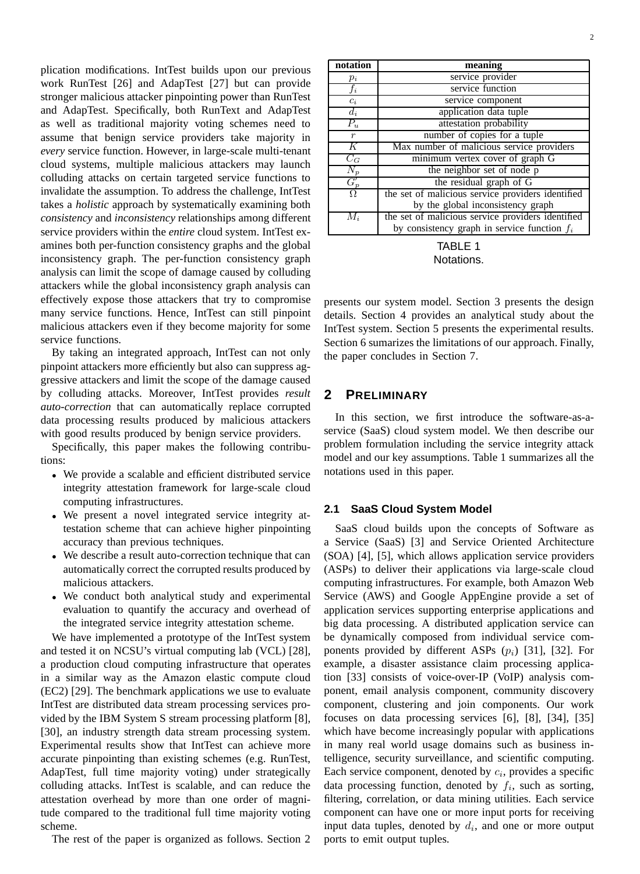plication modifications. IntTest builds upon our previous work RunTest [26] and AdapTest [27] but can provide stronger malicious attacker pinpointing power than RunTest and AdapTest. Specifically, both RunText and AdapTest as well as traditional majority voting schemes need to assume that benign service providers take majority in *every* service function. However, in large-scale multi-tenant cloud systems, multiple malicious attackers may launch colluding attacks on certain targeted service functions to invalidate the assumption. To address the challenge, IntTest takes a *holistic* approach by systematically examining both *consistency* and *inconsistency* relationships among different service providers within the *entire* cloud system. IntTest examines both per-function consistency graphs and the global inconsistency graph. The per-function consistency graph analysis can limit the scope of damage caused by colluding attackers while the global inconsistency graph analysis can effectively expose those attackers that try to compromise many service functions. Hence, IntTest can still pinpoint malicious attackers even if they become majority for some service functions.

By taking an integrated approach, IntTest can not only pinpoint attackers more efficiently but also can suppress aggressive attackers and limit the scope of the damage caused by colluding attacks. Moreover, IntTest provides *result auto-correction* that can automatically replace corrupted data processing results produced by malicious attackers with good results produced by benign service providers.

Specifically, this paper makes the following contributions:

- We provide a scalable and efficient distributed service integrity attestation framework for large-scale cloud computing infrastructures.
- We present a novel integrated service integrity attestation scheme that can achieve higher pinpointing accuracy than previous techniques.
- We describe a result auto-correction technique that can automatically correct the corrupted results produced by malicious attackers.
- We conduct both analytical study and experimental evaluation to quantify the accuracy and overhead of the integrated service integrity attestation scheme.

We have implemented a prototype of the IntTest system and tested it on NCSU's virtual computing lab (VCL) [28], a production cloud computing infrastructure that operates in a similar way as the Amazon elastic compute cloud (EC2) [29]. The benchmark applications we use to evaluate IntTest are distributed data stream processing services provided by the IBM System S stream processing platform [8], [30], an industry strength data stream processing system. Experimental results show that IntTest can achieve more accurate pinpointing than existing schemes (e.g. RunTest, AdapTest, full time majority voting) under strategically colluding attacks. IntTest is scalable, and can reduce the attestation overhead by more than one order of magnitude compared to the traditional full time majority voting scheme.

The rest of the paper is organized as follows. Section 2

| notation         | meaning                                           |
|------------------|---------------------------------------------------|
| $p_i$            | service provider                                  |
| $f_i$            | service function                                  |
| $c_i$            | service component                                 |
| $d_i$            | application data tuple                            |
| $\overline{P_u}$ | attestation probability                           |
| $\mathcal{r}$    | number of copies for a tuple                      |
| Κ                | Max number of malicious service providers         |
| $C_G$            | minimum vertex cover of graph G                   |
| $N_p$            | the neighbor set of node p                        |
| $G_p'$           | the residual graph of G                           |
| Ω                | the set of malicious service providers identified |
|                  | by the global inconsistency graph                 |
| $M_i$            | the set of malicious service providers identified |
|                  | by consistency graph in service function $f_i$    |

TABLE 1 Notations.

presents our system model. Section 3 presents the design details. Section 4 provides an analytical study about the IntTest system. Section 5 presents the experimental results. Section 6 sumarizes the limitations of our approach. Finally, the paper concludes in Section 7.

# **2 PRELIMINARY**

In this section, we first introduce the software-as-aservice (SaaS) cloud system model. We then describe our problem formulation including the service integrity attack model and our key assumptions. Table 1 summarizes all the notations used in this paper.

## **2.1 SaaS Cloud System Model**

SaaS cloud builds upon the concepts of Software as a Service (SaaS) [3] and Service Oriented Architecture (SOA) [4], [5], which allows application service providers (ASPs) to deliver their applications via large-scale cloud computing infrastructures. For example, both Amazon Web Service (AWS) and Google AppEngine provide a set of application services supporting enterprise applications and big data processing. A distributed application service can be dynamically composed from individual service components provided by different ASPs  $(p_i)$  [31], [32]. For example, a disaster assistance claim processing application [33] consists of voice-over-IP (VoIP) analysis component, email analysis component, community discovery component, clustering and join components. Our work focuses on data processing services [6], [8], [34], [35] which have become increasingly popular with applications in many real world usage domains such as business intelligence, security surveillance, and scientific computing. Each service component, denoted by  $c_i$ , provides a specific data processing function, denoted by  $f_i$ , such as sorting, filtering, correlation, or data mining utilities. Each service component can have one or more input ports for receiving input data tuples, denoted by  $d_i$ , and one or more output ports to emit output tuples.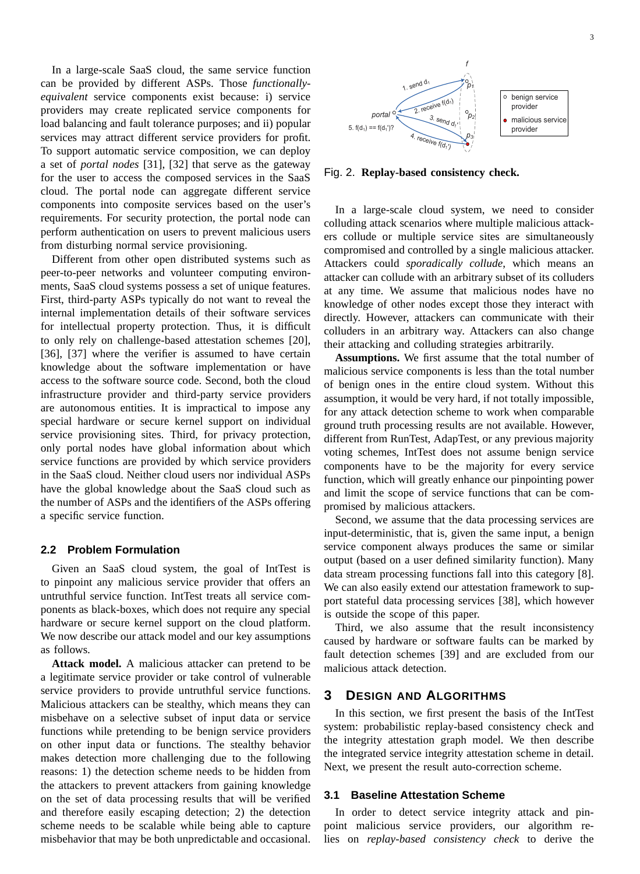In a large-scale SaaS cloud, the same service function can be provided by different ASPs. Those *functionallyequivalent* service components exist because: i) service providers may create replicated service components for load balancing and fault tolerance purposes; and ii) popular services may attract different service providers for profit. To support automatic service composition, we can deploy a set of *portal nodes* [31], [32] that serve as the gateway for the user to access the composed services in the SaaS cloud. The portal node can aggregate different service components into composite services based on the user's requirements. For security protection, the portal node can perform authentication on users to prevent malicious users from disturbing normal service provisioning.

Different from other open distributed systems such as peer-to-peer networks and volunteer computing environments, SaaS cloud systems possess a set of unique features. First, third-party ASPs typically do not want to reveal the internal implementation details of their software services for intellectual property protection. Thus, it is difficult to only rely on challenge-based attestation schemes [20], [36], [37] where the verifier is assumed to have certain knowledge about the software implementation or have access to the software source code. Second, both the cloud infrastructure provider and third-party service providers are autonomous entities. It is impractical to impose any special hardware or secure kernel support on individual service provisioning sites. Third, for privacy protection, only portal nodes have global information about which service functions are provided by which service providers in the SaaS cloud. Neither cloud users nor individual ASPs have the global knowledge about the SaaS cloud such as the number of ASPs and the identifiers of the ASPs offering a specific service function.

#### **2.2 Problem Formulation**

Given an SaaS cloud system, the goal of IntTest is to pinpoint any malicious service provider that offers an untruthful service function. IntTest treats all service components as black-boxes, which does not require any special hardware or secure kernel support on the cloud platform. We now describe our attack model and our key assumptions as follows.

**Attack model.** A malicious attacker can pretend to be a legitimate service provider or take control of vulnerable service providers to provide untruthful service functions. Malicious attackers can be stealthy, which means they can misbehave on a selective subset of input data or service functions while pretending to be benign service providers on other input data or functions. The stealthy behavior makes detection more challenging due to the following reasons: 1) the detection scheme needs to be hidden from the attackers to prevent attackers from gaining knowledge on the set of data processing results that will be verified and therefore easily escaping detection; 2) the detection scheme needs to be scalable while being able to capture misbehavior that may be both unpredictable and occasional.



Fig. 2. **Replay-based consistency check.**

In a large-scale cloud system, we need to consider colluding attack scenarios where multiple malicious attackers collude or multiple service sites are simultaneously compromised and controlled by a single malicious attacker. Attackers could *sporadically collude*, which means an attacker can collude with an arbitrary subset of its colluders at any time. We assume that malicious nodes have no knowledge of other nodes except those they interact with directly. However, attackers can communicate with their colluders in an arbitrary way. Attackers can also change their attacking and colluding strategies arbitrarily.

**Assumptions.** We first assume that the total number of malicious service components is less than the total number of benign ones in the entire cloud system. Without this assumption, it would be very hard, if not totally impossible, for any attack detection scheme to work when comparable ground truth processing results are not available. However, different from RunTest, AdapTest, or any previous majority voting schemes, IntTest does not assume benign service components have to be the majority for every service function, which will greatly enhance our pinpointing power and limit the scope of service functions that can be compromised by malicious attackers.

Second, we assume that the data processing services are input-deterministic, that is, given the same input, a benign service component always produces the same or similar output (based on a user defined similarity function). Many data stream processing functions fall into this category [8]. We can also easily extend our attestation framework to support stateful data processing services [38], which however is outside the scope of this paper.

Third, we also assume that the result inconsistency caused by hardware or software faults can be marked by fault detection schemes [39] and are excluded from our malicious attack detection.

## **3 DESIGN AND ALGORITHMS**

In this section, we first present the basis of the IntTest system: probabilistic replay-based consistency check and the integrity attestation graph model. We then describe the integrated service integrity attestation scheme in detail. Next, we present the result auto-correction scheme.

### **3.1 Baseline Attestation Scheme**

In order to detect service integrity attack and pinpoint malicious service providers, our algorithm relies on *replay-based consistency check* to derive the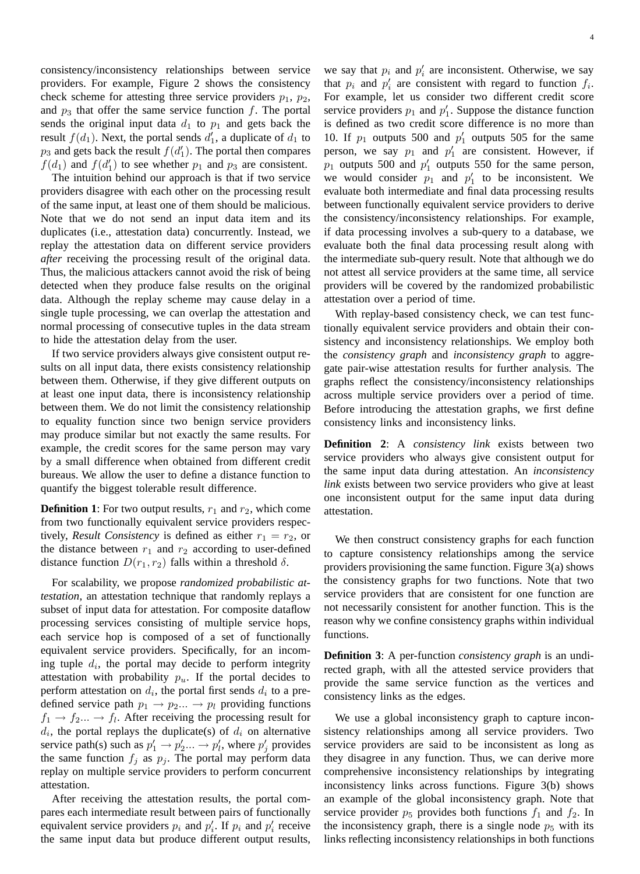consistency/inconsistency relationships between service providers. For example, Figure 2 shows the consistency check scheme for attesting three service providers  $p_1$ ,  $p_2$ , and  $p_3$  that offer the same service function f. The portal sends the original input data  $d_1$  to  $p_1$  and gets back the result  $f(d_1)$ . Next, the portal sends  $d'_1$ , a duplicate of  $d_1$  to  $p_3$  and gets back the result  $f(d'_1)$ . The portal then compares  $f(d_1)$  and  $f(d'_1)$  to see whether  $p_1$  and  $p_3$  are consistent.

The intuition behind our approach is that if two service providers disagree with each other on the processing result of the same input, at least one of them should be malicious. Note that we do not send an input data item and its duplicates (i.e., attestation data) concurrently. Instead, we replay the attestation data on different service providers *after* receiving the processing result of the original data. Thus, the malicious attackers cannot avoid the risk of being detected when they produce false results on the original data. Although the replay scheme may cause delay in a single tuple processing, we can overlap the attestation and normal processing of consecutive tuples in the data stream to hide the attestation delay from the user.

If two service providers always give consistent output results on all input data, there exists consistency relationship between them. Otherwise, if they give different outputs on at least one input data, there is inconsistency relationship between them. We do not limit the consistency relationship to equality function since two benign service providers may produce similar but not exactly the same results. For example, the credit scores for the same person may vary by a small difference when obtained from different credit bureaus. We allow the user to define a distance function to quantify the biggest tolerable result difference.

**Definition 1**: For two output results,  $r_1$  and  $r_2$ , which come from two functionally equivalent service providers respectively, *Result Consistency* is defined as either  $r_1 = r_2$ , or the distance between  $r_1$  and  $r_2$  according to user-defined distance function  $D(r_1, r_2)$  falls within a threshold  $\delta$ .

For scalability, we propose *randomized probabilistic attestation*, an attestation technique that randomly replays a subset of input data for attestation. For composite dataflow processing services consisting of multiple service hops, each service hop is composed of a set of functionally equivalent service providers. Specifically, for an incoming tuple  $d_i$ , the portal may decide to perform integrity attestation with probability  $p_u$ . If the portal decides to perform attestation on  $d_i$ , the portal first sends  $d_i$  to a predefined service path  $p_1 \rightarrow p_2 \dots \rightarrow p_l$  providing functions  $f_1 \rightarrow f_2 \dots \rightarrow f_l$ . After receiving the processing result for  $d_i$ , the portal replays the duplicate(s) of  $d_i$  on alternative service path(s) such as  $p'_1 \rightarrow p'_2 ... \rightarrow p'_l$ , where  $p'_j$  provides the same function  $f_j$  as  $p_j$ . The portal may perform data replay on multiple service providers to perform concurrent attestation.

After receiving the attestation results, the portal compares each intermediate result between pairs of functionally equivalent service providers  $p_i$  and  $p'_i$ . If  $p_i$  and  $p'_i$  receive the same input data but produce different output results,

we say that  $p_i$  and  $p'_i$  are inconsistent. Otherwise, we say that  $p_i$  and  $p'_i$  are consistent with regard to function  $f_i$ . For example, let us consider two different credit score service providers  $p_1$  and  $p'_1$ . Suppose the distance function is defined as two credit score difference is no more than 10. If  $p_1$  outputs 500 and  $p'_1$  outputs 505 for the same person, we say  $p_1$  and  $p'_1$  are consistent. However, if  $p_1$  outputs 500 and  $p'_1$  outputs 550 for the same person, we would consider  $p_1$  and  $p'_1$  to be inconsistent. We evaluate both intermediate and final data processing results between functionally equivalent service providers to derive the consistency/inconsistency relationships. For example, if data processing involves a sub-query to a database, we evaluate both the final data processing result along with the intermediate sub-query result. Note that although we do not attest all service providers at the same time, all service providers will be covered by the randomized probabilistic attestation over a period of time.

With replay-based consistency check, we can test functionally equivalent service providers and obtain their consistency and inconsistency relationships. We employ both the *consistency graph* and *inconsistency graph* to aggregate pair-wise attestation results for further analysis. The graphs reflect the consistency/inconsistency relationships across multiple service providers over a period of time. Before introducing the attestation graphs, we first define consistency links and inconsistency links.

**Definition 2**: A *consistency link* exists between two service providers who always give consistent output for the same input data during attestation. An *inconsistency link* exists between two service providers who give at least one inconsistent output for the same input data during attestation.

We then construct consistency graphs for each function to capture consistency relationships among the service providers provisioning the same function. Figure 3(a) shows the consistency graphs for two functions. Note that two service providers that are consistent for one function are not necessarily consistent for another function. This is the reason why we confine consistency graphs within individual functions.

**Definition 3**: A per-function *consistency graph* is an undirected graph, with all the attested service providers that provide the same service function as the vertices and consistency links as the edges.

We use a global inconsistency graph to capture inconsistency relationships among all service providers. Two service providers are said to be inconsistent as long as they disagree in any function. Thus, we can derive more comprehensive inconsistency relationships by integrating inconsistency links across functions. Figure 3(b) shows an example of the global inconsistency graph. Note that service provider  $p_5$  provides both functions  $f_1$  and  $f_2$ . In the inconsistency graph, there is a single node  $p_5$  with its links reflecting inconsistency relationships in both functions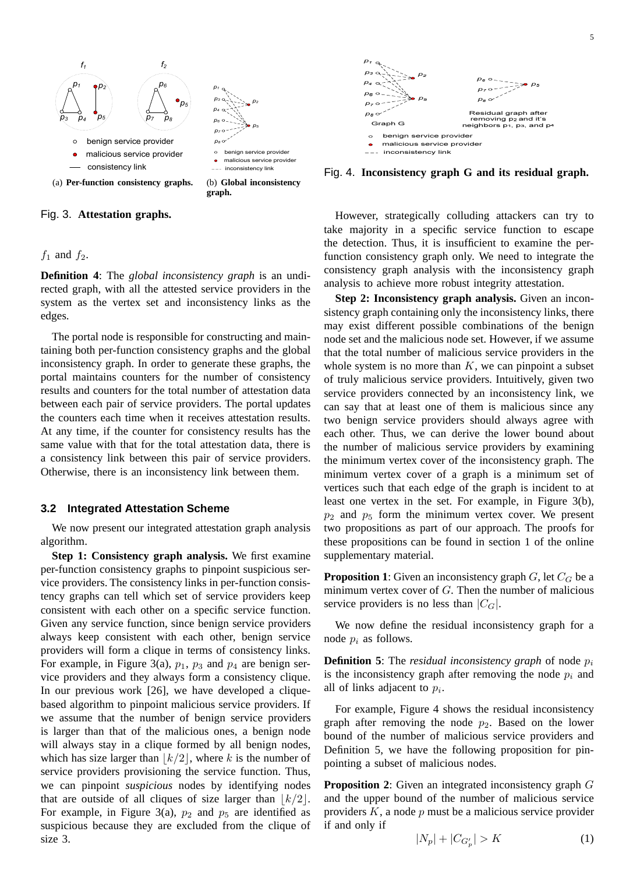

Fig. 3. **Attestation graphs.**



**Definition 4**: The *global inconsistency graph* is an undirected graph, with all the attested service providers in the system as the vertex set and inconsistency links as the edges.

The portal node is responsible for constructing and maintaining both per-function consistency graphs and the global inconsistency graph. In order to generate these graphs, the portal maintains counters for the number of consistency results and counters for the total number of attestation data between each pair of service providers. The portal updates the counters each time when it receives attestation results. At any time, if the counter for consistency results has the same value with that for the total attestation data, there is a consistency link between this pair of service providers. Otherwise, there is an inconsistency link between them.

#### **3.2 Integrated Attestation Scheme**

We now present our integrated attestation graph analysis algorithm.

**Step 1: Consistency graph analysis.** We first examine per-function consistency graphs to pinpoint suspicious service providers. The consistency links in per-function consistency graphs can tell which set of service providers keep consistent with each other on a specific service function. Given any service function, since benign service providers always keep consistent with each other, benign service providers will form a clique in terms of consistency links. For example, in Figure 3(a),  $p_1$ ,  $p_3$  and  $p_4$  are benign service providers and they always form a consistency clique. In our previous work [26], we have developed a cliquebased algorithm to pinpoint malicious service providers. If we assume that the number of benign service providers is larger than that of the malicious ones, a benign node will always stay in a clique formed by all benign nodes, which has size larger than  $\lfloor k/2 \rfloor$ , where k is the number of service providers provisioning the service function. Thus, we can pinpoint *suspicious* nodes by identifying nodes that are outside of all cliques of size larger than  $\lfloor k/2 \rfloor$ . For example, in Figure 3(a),  $p_2$  and  $p_5$  are identified as suspicious because they are excluded from the clique of size 3.



Fig. 4. **Inconsistency graph G and its residual graph.**

However, strategically colluding attackers can try to take majority in a specific service function to escape the detection. Thus, it is insufficient to examine the perfunction consistency graph only. We need to integrate the consistency graph analysis with the inconsistency graph analysis to achieve more robust integrity attestation.

**Step 2: Inconsistency graph analysis.** Given an inconsistency graph containing only the inconsistency links, there may exist different possible combinations of the benign node set and the malicious node set. However, if we assume that the total number of malicious service providers in the whole system is no more than  $K$ , we can pinpoint a subset of truly malicious service providers. Intuitively, given two service providers connected by an inconsistency link, we can say that at least one of them is malicious since any two benign service providers should always agree with each other. Thus, we can derive the lower bound about the number of malicious service providers by examining the minimum vertex cover of the inconsistency graph. The minimum vertex cover of a graph is a minimum set of vertices such that each edge of the graph is incident to at least one vertex in the set. For example, in Figure 3(b),  $p_2$  and  $p_5$  form the minimum vertex cover. We present two propositions as part of our approach. The proofs for these propositions can be found in section 1 of the online supplementary material.

**Proposition 1**: Given an inconsistency graph  $G$ , let  $C_G$  be a minimum vertex cover of  $G$ . Then the number of malicious service providers is no less than  $|C_G|$ .

We now define the residual inconsistency graph for a node  $p_i$  as follows.

**Definition 5**: The *residual inconsistency graph* of node  $p_i$ is the inconsistency graph after removing the node  $p_i$  and all of links adjacent to  $p_i$ .

For example, Figure 4 shows the residual inconsistency graph after removing the node  $p_2$ . Based on the lower bound of the number of malicious service providers and Definition 5, we have the following proposition for pinpointing a subset of malicious nodes.

**Proposition 2**: Given an integrated inconsistency graph G and the upper bound of the number of malicious service providers  $K$ , a node  $p$  must be a malicious service provider if and only if

$$
\frac{5}{2}
$$

$$
|N_p| + |C_{G'_p}| > K \tag{1}
$$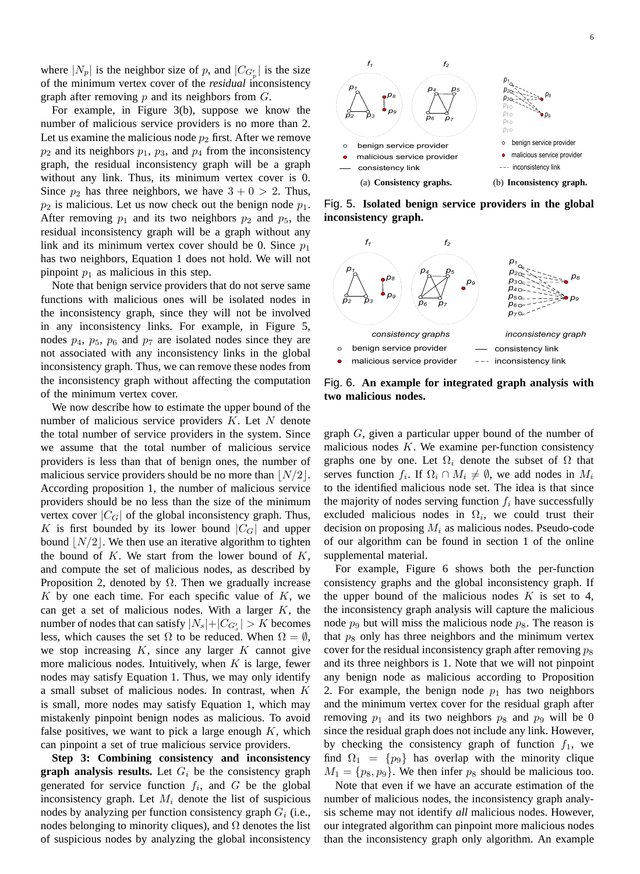where  $|N_p|$  is the neighbor size of p, and  $|C_{G'_p}|$  is the size of the minimum vertex cover of the *residual* inconsistency graph after removing  $p$  and its neighbors from  $G$ .

For example, in Figure 3(b), suppose we know the number of malicious service providers is no more than 2. Let us examine the malicious node  $p_2$  first. After we remove  $p_2$  and its neighbors  $p_1$ ,  $p_3$ , and  $p_4$  from the inconsistency graph, the residual inconsistency graph will be a graph without any link. Thus, its minimum vertex cover is 0. Since  $p_2$  has three neighbors, we have  $3 + 0 > 2$ . Thus,  $p_2$  is malicious. Let us now check out the benign node  $p_1$ . After removing  $p_1$  and its two neighbors  $p_2$  and  $p_5$ , the residual inconsistency graph will be a graph without any link and its minimum vertex cover should be 0. Since  $p_1$ has two neighbors, Equation 1 does not hold. We will not pinpoint  $p_1$  as malicious in this step.

Note that benign service providers that do not serve same functions with malicious ones will be isolated nodes in the inconsistency graph, since they will not be involved in any inconsistency links. For example, in Figure 5, nodes  $p_4$ ,  $p_5$ ,  $p_6$  and  $p_7$  are isolated nodes since they are not associated with any inconsistency links in the global inconsistency graph. Thus, we can remove these nodes from the inconsistency graph without affecting the computation of the minimum vertex cover.

We now describe how to estimate the upper bound of the number of malicious service providers  $K$ . Let  $N$  denote the total number of service providers in the system. Since we assume that the total number of malicious service providers is less than that of benign ones, the number of malicious service providers should be no more than  $|N/2|$ . According proposition 1, the number of malicious service providers should be no less than the size of the minimum vertex cover  $|C_G|$  of the global inconsistency graph. Thus, K is first bounded by its lower bound  $|C_G|$  and upper bound  $|N/2|$ . We then use an iterative algorithm to tighten the bound of  $K$ . We start from the lower bound of  $K$ , and compute the set of malicious nodes, as described by Proposition 2, denoted by  $\Omega$ . Then we gradually increase K by one each time. For each specific value of  $K$ , we can get a set of malicious nodes. With a larger  $K$ , the number of nodes that can satisfy  $|N_s|+|C_{G'_s}| > K$  becomes less, which causes the set  $\Omega$  to be reduced. When  $\Omega = \emptyset$ , we stop increasing  $K$ , since any larger  $K$  cannot give more malicious nodes. Intuitively, when  $K$  is large, fewer nodes may satisfy Equation 1. Thus, we may only identify a small subset of malicious nodes. In contrast, when K is small, more nodes may satisfy Equation 1, which may mistakenly pinpoint benign nodes as malicious. To avoid false positives, we want to pick a large enough  $K$ , which can pinpoint a set of true malicious service providers.

**Step 3: Combining consistency and inconsistency graph analysis results.** Let  $G_i$  be the consistency graph generated for service function  $f_i$ , and  $G$  be the global inconsistency graph. Let  $M_i$  denote the list of suspicious nodes by analyzing per function consistency graph  $G_i$  (i.e., nodes belonging to minority cliques), and  $\Omega$  denotes the list of suspicious nodes by analyzing the global inconsistency



Fig. 5. **Isolated benign service providers in the global inconsistency graph.**



Fig. 6. **An example for integrated graph analysis with two malicious nodes.**

graph G, given a particular upper bound of the number of malicious nodes  $K$ . We examine per-function consistency graphs one by one. Let  $\Omega_i$  denote the subset of  $\Omega$  that serves function  $f_i$ . If  $\Omega_i \cap M_i \neq \emptyset$ , we add nodes in  $M_i$ to the identified malicious node set. The idea is that since the majority of nodes serving function  $f_i$  have successfully excluded malicious nodes in  $\Omega_i$ , we could trust their decision on proposing  $M_i$  as malicious nodes. Pseudo-code of our algorithm can be found in section 1 of the online supplemental material.

For example, Figure 6 shows both the per-function consistency graphs and the global inconsistency graph. If the upper bound of the malicious nodes  $K$  is set to 4, the inconsistency graph analysis will capture the malicious node  $p_9$  but will miss the malicious node  $p_8$ . The reason is that  $p_8$  only has three neighbors and the minimum vertex cover for the residual inconsistency graph after removing  $p_8$ and its three neighbors is 1. Note that we will not pinpoint any benign node as malicious according to Proposition 2. For example, the benign node  $p_1$  has two neighbors and the minimum vertex cover for the residual graph after removing  $p_1$  and its two neighbors  $p_8$  and  $p_9$  will be 0 since the residual graph does not include any link. However, by checking the consistency graph of function  $f_1$ , we find  $\Omega_1 = \{p_9\}$  has overlap with the minority clique  $M_1 = \{p_8, p_9\}$ . We then infer  $p_8$  should be malicious too.

Note that even if we have an accurate estimation of the number of malicious nodes, the inconsistency graph analysis scheme may not identify *all* malicious nodes. However, our integrated algorithm can pinpoint more malicious nodes than the inconsistency graph only algorithm. An example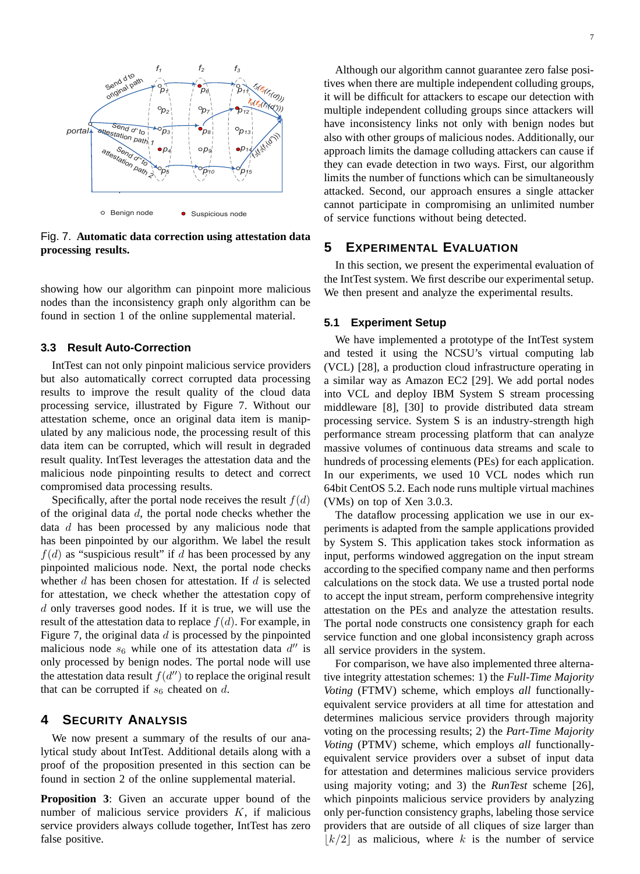

Fig. 7. **Automatic data correction using attestation data processing results.**

showing how our algorithm can pinpoint more malicious nodes than the inconsistency graph only algorithm can be found in section 1 of the online supplemental material.

### **3.3 Result Auto-Correction**

IntTest can not only pinpoint malicious service providers but also automatically correct corrupted data processing results to improve the result quality of the cloud data processing service, illustrated by Figure 7. Without our attestation scheme, once an original data item is manipulated by any malicious node, the processing result of this data item can be corrupted, which will result in degraded result quality. IntTest leverages the attestation data and the malicious node pinpointing results to detect and correct compromised data processing results.

Specifically, after the portal node receives the result  $f(d)$ of the original data  $d$ , the portal node checks whether the data  $d$  has been processed by any malicious node that has been pinpointed by our algorithm. We label the result  $f(d)$  as "suspicious result" if d has been processed by any pinpointed malicious node. Next, the portal node checks whether  $d$  has been chosen for attestation. If  $d$  is selected for attestation, we check whether the attestation copy of  $d$  only traverses good nodes. If it is true, we will use the result of the attestation data to replace  $f(d)$ . For example, in Figure 7, the original data  $d$  is processed by the pinpointed malicious node  $s_6$  while one of its attestation data  $d''$  is only processed by benign nodes. The portal node will use the attestation data result  $f(d'')$  to replace the original result that can be corrupted if  $s_6$  cheated on d.

## **4 SECURITY ANALYSIS**

We now present a summary of the results of our analytical study about IntTest. Additional details along with a proof of the proposition presented in this section can be found in section 2 of the online supplemental material.

**Proposition 3**: Given an accurate upper bound of the number of malicious service providers  $K$ , if malicious service providers always collude together, IntTest has zero false positive.

Although our algorithm cannot guarantee zero false positives when there are multiple independent colluding groups, it will be difficult for attackers to escape our detection with multiple independent colluding groups since attackers will have inconsistency links not only with benign nodes but also with other groups of malicious nodes. Additionally, our approach limits the damage colluding attackers can cause if they can evade detection in two ways. First, our algorithm limits the number of functions which can be simultaneously attacked. Second, our approach ensures a single attacker cannot participate in compromising an unlimited number of service functions without being detected.

# **5 EXPERIMENTAL EVALUATION**

In this section, we present the experimental evaluation of the IntTest system. We first describe our experimental setup. We then present and analyze the experimental results.

#### **5.1 Experiment Setup**

We have implemented a prototype of the IntTest system and tested it using the NCSU's virtual computing lab (VCL) [28], a production cloud infrastructure operating in a similar way as Amazon EC2 [29]. We add portal nodes into VCL and deploy IBM System S stream processing middleware [8], [30] to provide distributed data stream processing service. System S is an industry-strength high performance stream processing platform that can analyze massive volumes of continuous data streams and scale to hundreds of processing elements (PEs) for each application. In our experiments, we used 10 VCL nodes which run 64bit CentOS 5.2. Each node runs multiple virtual machines (VMs) on top of Xen 3.0.3.

The dataflow processing application we use in our experiments is adapted from the sample applications provided by System S. This application takes stock information as input, performs windowed aggregation on the input stream according to the specified company name and then performs calculations on the stock data. We use a trusted portal node to accept the input stream, perform comprehensive integrity attestation on the PEs and analyze the attestation results. The portal node constructs one consistency graph for each service function and one global inconsistency graph across all service providers in the system.

For comparison, we have also implemented three alternative integrity attestation schemes: 1) the *Full-Time Majority Voting* (FTMV) scheme, which employs *all* functionallyequivalent service providers at all time for attestation and determines malicious service providers through majority voting on the processing results; 2) the *Part-Time Majority Voting* (PTMV) scheme, which employs *all* functionallyequivalent service providers over a subset of input data for attestation and determines malicious service providers using majority voting; and 3) the *RunTest* scheme [26], which pinpoints malicious service providers by analyzing only per-function consistency graphs, labeling those service providers that are outside of all cliques of size larger than  $|k/2|$  as malicious, where k is the number of service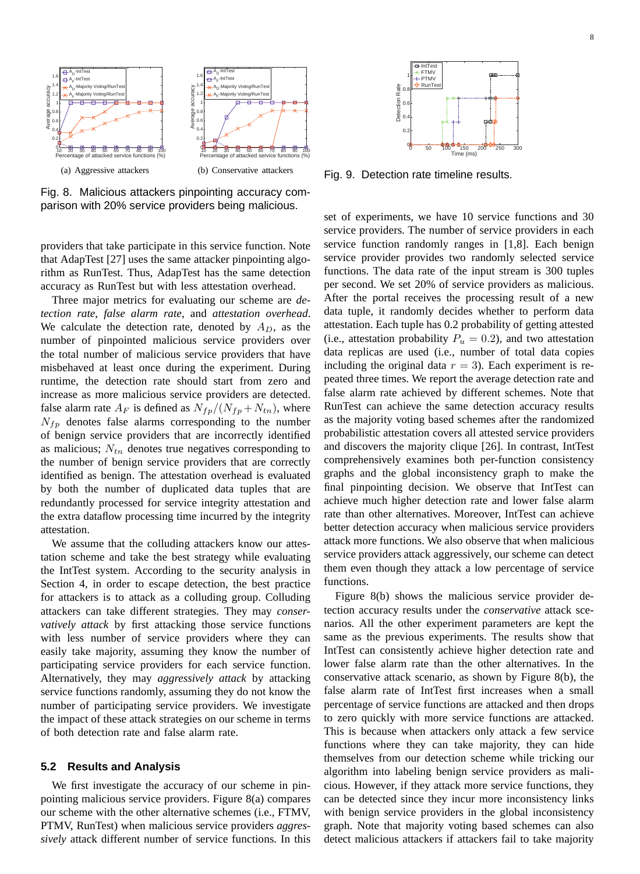

Fig. 8. Malicious attackers pinpointing accuracy comparison with 20% service providers being malicious.

providers that take participate in this service function. Note that AdapTest [27] uses the same attacker pinpointing algorithm as RunTest. Thus, AdapTest has the same detection accuracy as RunTest but with less attestation overhead.

Three major metrics for evaluating our scheme are *detection rate*, *false alarm rate*, and *attestation overhead*. We calculate the detection rate, denoted by  $A_D$ , as the number of pinpointed malicious service providers over the total number of malicious service providers that have misbehaved at least once during the experiment. During runtime, the detection rate should start from zero and increase as more malicious service providers are detected. false alarm rate  $A_F$  is defined as  $N_{fp}/(N_{fp} + N_{tn})$ , where  $N_{fp}$  denotes false alarms corresponding to the number of benign service providers that are incorrectly identified as malicious;  $N_{tn}$  denotes true negatives corresponding to the number of benign service providers that are correctly identified as benign. The attestation overhead is evaluated by both the number of duplicated data tuples that are redundantly processed for service integrity attestation and the extra dataflow processing time incurred by the integrity attestation.

We assume that the colluding attackers know our attestation scheme and take the best strategy while evaluating the IntTest system. According to the security analysis in Section 4, in order to escape detection, the best practice for attackers is to attack as a colluding group. Colluding attackers can take different strategies. They may *conservatively attack* by first attacking those service functions with less number of service providers where they can easily take majority, assuming they know the number of participating service providers for each service function. Alternatively, they may *aggressively attack* by attacking service functions randomly, assuming they do not know the number of participating service providers. We investigate the impact of these attack strategies on our scheme in terms of both detection rate and false alarm rate.

#### **5.2 Results and Analysis**

We first investigate the accuracy of our scheme in pinpointing malicious service providers. Figure 8(a) compares our scheme with the other alternative schemes (i.e., FTMV, PTMV, RunTest) when malicious service providers *aggressively* attack different number of service functions. In this



Fig. 9. Detection rate timeline results.

set of experiments, we have 10 service functions and 30 service providers. The number of service providers in each service function randomly ranges in [1,8]. Each benign service provider provides two randomly selected service functions. The data rate of the input stream is 300 tuples per second. We set 20% of service providers as malicious. After the portal receives the processing result of a new data tuple, it randomly decides whether to perform data attestation. Each tuple has 0.2 probability of getting attested (i.e., attestation probability  $P_u = 0.2$ ), and two attestation data replicas are used (i.e., number of total data copies including the original data  $r = 3$ ). Each experiment is repeated three times. We report the average detection rate and false alarm rate achieved by different schemes. Note that RunTest can achieve the same detection accuracy results as the majority voting based schemes after the randomized probabilistic attestation covers all attested service providers and discovers the majority clique [26]. In contrast, IntTest comprehensively examines both per-function consistency graphs and the global inconsistency graph to make the final pinpointing decision. We observe that IntTest can achieve much higher detection rate and lower false alarm rate than other alternatives. Moreover, IntTest can achieve better detection accuracy when malicious service providers attack more functions. We also observe that when malicious service providers attack aggressively, our scheme can detect them even though they attack a low percentage of service functions.

Figure 8(b) shows the malicious service provider detection accuracy results under the *conservative* attack scenarios. All the other experiment parameters are kept the same as the previous experiments. The results show that IntTest can consistently achieve higher detection rate and lower false alarm rate than the other alternatives. In the conservative attack scenario, as shown by Figure 8(b), the false alarm rate of IntTest first increases when a small percentage of service functions are attacked and then drops to zero quickly with more service functions are attacked. This is because when attackers only attack a few service functions where they can take majority, they can hide themselves from our detection scheme while tricking our algorithm into labeling benign service providers as malicious. However, if they attack more service functions, they can be detected since they incur more inconsistency links with benign service providers in the global inconsistency graph. Note that majority voting based schemes can also detect malicious attackers if attackers fail to take majority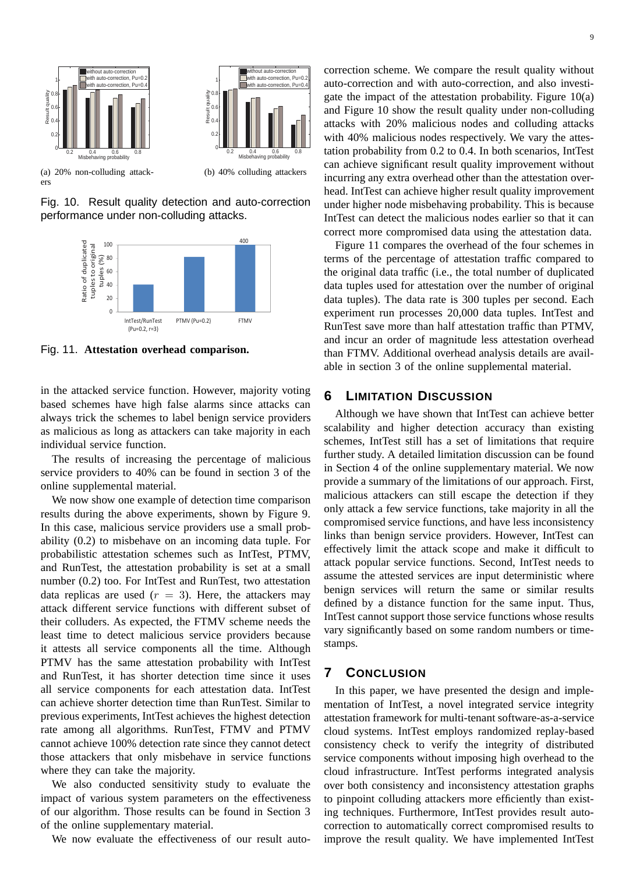

Fig. 10. Result quality detection and auto-correction performance under non-colluding attacks.



Fig. 11. **Attestation overhead comparison.**

in the attacked service function. However, majority voting based schemes have high false alarms since attacks can always trick the schemes to label benign service providers as malicious as long as attackers can take majority in each individual service function.

The results of increasing the percentage of malicious service providers to 40% can be found in section 3 of the online supplemental material.

We now show one example of detection time comparison results during the above experiments, shown by Figure 9. In this case, malicious service providers use a small probability (0.2) to misbehave on an incoming data tuple. For probabilistic attestation schemes such as IntTest, PTMV, and RunTest, the attestation probability is set at a small number (0.2) too. For IntTest and RunTest, two attestation data replicas are used  $(r = 3)$ . Here, the attackers may attack different service functions with different subset of their colluders. As expected, the FTMV scheme needs the least time to detect malicious service providers because it attests all service components all the time. Although PTMV has the same attestation probability with IntTest and RunTest, it has shorter detection time since it uses all service components for each attestation data. IntTest can achieve shorter detection time than RunTest. Similar to previous experiments, IntTest achieves the highest detection rate among all algorithms. RunTest, FTMV and PTMV cannot achieve 100% detection rate since they cannot detect those attackers that only misbehave in service functions where they can take the majority.

We also conducted sensitivity study to evaluate the impact of various system parameters on the effectiveness of our algorithm. Those results can be found in Section 3 of the online supplementary material.

We now evaluate the effectiveness of our result auto-

correction scheme. We compare the result quality without auto-correction and with auto-correction, and also investigate the impact of the attestation probability. Figure 10(a) and Figure 10 show the result quality under non-colluding attacks with 20% malicious nodes and colluding attacks with 40% malicious nodes respectively. We vary the attestation probability from 0.2 to 0.4. In both scenarios, IntTest can achieve significant result quality improvement without incurring any extra overhead other than the attestation overhead. IntTest can achieve higher result quality improvement under higher node misbehaving probability. This is because IntTest can detect the malicious nodes earlier so that it can correct more compromised data using the attestation data.

Figure 11 compares the overhead of the four schemes in terms of the percentage of attestation traffic compared to the original data traffic (i.e., the total number of duplicated data tuples used for attestation over the number of original data tuples). The data rate is 300 tuples per second. Each experiment run processes 20,000 data tuples. IntTest and RunTest save more than half attestation traffic than PTMV, and incur an order of magnitude less attestation overhead than FTMV. Additional overhead analysis details are available in section 3 of the online supplemental material.

# **6 LIMITATION DISCUSSION**

Although we have shown that IntTest can achieve better scalability and higher detection accuracy than existing schemes, IntTest still has a set of limitations that require further study. A detailed limitation discussion can be found in Section 4 of the online supplementary material. We now provide a summary of the limitations of our approach. First, malicious attackers can still escape the detection if they only attack a few service functions, take majority in all the compromised service functions, and have less inconsistency links than benign service providers. However, IntTest can effectively limit the attack scope and make it difficult to attack popular service functions. Second, IntTest needs to assume the attested services are input deterministic where benign services will return the same or similar results defined by a distance function for the same input. Thus, IntTest cannot support those service functions whose results vary significantly based on some random numbers or timestamps.

# **7 CONCLUSION**

In this paper, we have presented the design and implementation of IntTest, a novel integrated service integrity attestation framework for multi-tenant software-as-a-service cloud systems. IntTest employs randomized replay-based consistency check to verify the integrity of distributed service components without imposing high overhead to the cloud infrastructure. IntTest performs integrated analysis over both consistency and inconsistency attestation graphs to pinpoint colluding attackers more efficiently than existing techniques. Furthermore, IntTest provides result autocorrection to automatically correct compromised results to improve the result quality. We have implemented IntTest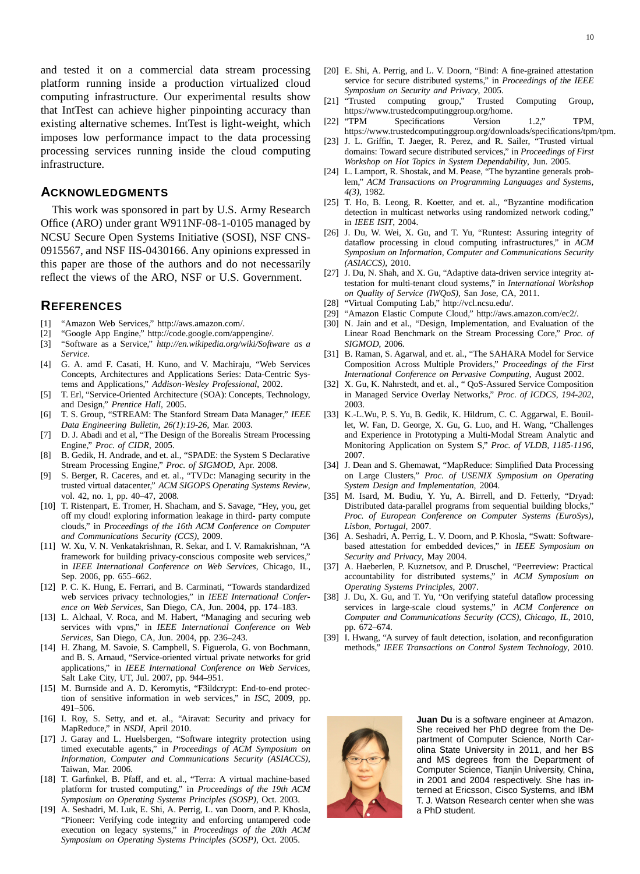and tested it on a commercial data stream processing platform running inside a production virtualized cloud computing infrastructure. Our experimental results show that IntTest can achieve higher pinpointing accuracy than existing alternative schemes. IntTest is light-weight, which imposes low performance impact to the data processing processing services running inside the cloud computing infrastructure.

# **ACKNOWLEDGMENTS**

This work was sponsored in part by U.S. Army Research Office (ARO) under grant W911NF-08-1-0105 managed by NCSU Secure Open Systems Initiative (SOSI), NSF CNS-0915567, and NSF IIS-0430166. Any opinions expressed in this paper are those of the authors and do not necessarily reflect the views of the ARO, NSF or U.S. Government.

## **REFERENCES**

- [1] "Amazon Web Services," http://aws.amazon.com/.
- [2] "Google App Engine," http://code.google.com/appengine/.
- [3] "Software as a Service," *http://en.wikipedia.org/wiki/Software as a Service*.
- [4] G. A. amd F. Casati, H. Kuno, and V. Machiraju, "Web Services Concepts, Architectures and Applications Series: Data-Centric Systems and Applications," *Addison-Wesley Professional*, 2002.
- [5] T. Erl, "Service-Oriented Architecture (SOA): Concepts, Technology, and Design," *Prentice Hall*, 2005.
- [6] T. S. Group, "STREAM: The Stanford Stream Data Manager," *IEEE Data Engineering Bulletin, 26(1):19-26*, Mar. 2003.
- [7] D. J. Abadi and et al, "The Design of the Borealis Stream Processing Engine," *Proc. of CIDR*, 2005.
- [8] B. Gedik, H. Andrade, and et. al., "SPADE: the System S Declarative Stream Processing Engine," *Proc. of SIGMOD*, Apr. 2008.
- [9] S. Berger, R. Caceres, and et. al., "TVDc: Managing security in the trusted virtual datacenter," *ACM SIGOPS Operating Systems Review*, vol. 42, no. 1, pp. 40–47, 2008.
- [10] T. Ristenpart, E. Tromer, H. Shacham, and S. Savage, "Hey, you, get off my cloud! exploring information leakage in third- party compute clouds," in *Proceedings of the 16th ACM Conference on Computer and Communications Security (CCS)*, 2009.
- [11] W. Xu, V. N. Venkatakrishnan, R. Sekar, and I. V. Ramakrishnan, "A framework for building privacy-conscious composite web services," in *IEEE International Conference on Web Services*, Chicago, IL, Sep. 2006, pp. 655–662.
- [12] P. C. K. Hung, E. Ferrari, and B. Carminati, "Towards standardized web services privacy technologies," in *IEEE International Conference on Web Services*, San Diego, CA, Jun. 2004, pp. 174–183.
- [13] L. Alchaal, V. Roca, and M. Habert, "Managing and securing web services with vpns," in *IEEE International Conference on Web Services*, San Diego, CA, Jun. 2004, pp. 236–243.
- [14] H. Zhang, M. Savoie, S. Campbell, S. Figuerola, G. von Bochmann, and B. S. Arnaud, "Service-oriented virtual private networks for grid applications," in *IEEE International Conference on Web Services*, Salt Lake City, UT, Jul. 2007, pp. 944–951.
- [15] M. Burnside and A. D. Keromytis, "F3ildcrypt: End-to-end protection of sensitive information in web services," in *ISC*, 2009, pp. 491–506.
- [16] I. Roy, S. Setty, and et. al., "Airavat: Security and privacy for MapReduce," in *NSDI*, April 2010.
- [17] J. Garay and L. Huelsbergen, "Software integrity protection using timed executable agents," in *Proceedings of ACM Symposium on Information, Computer and Communications Security (ASIACCS)*, Taiwan, Mar. 2006.
- [18] T. Garfinkel, B. Pfaff, and et. al., "Terra: A virtual machine-based platform for trusted computing," in *Proceedings of the 19th ACM Symposium on Operating Systems Principles (SOSP)*, Oct. 2003.
- [19] A. Seshadri, M. Luk, E. Shi, A. Perrig, L. van Doorn, and P. Khosla, "Pioneer: Verifying code integrity and enforcing untampered code execution on legacy systems," in *Proceedings of the 20th ACM Symposium on Operating Systems Principles (SOSP)*, Oct. 2005.
- [20] E. Shi, A. Perrig, and L. V. Doorn, "Bind: A fine-grained attestation service for secure distributed systems," in *Proceedings of the IEEE Symposium on Security and Privacy*, 2005.
- [21] "Trusted computing group," Trusted Computing Group, https://www.trustedcomputinggroup.org/home.
- [22] "TPM Specifications Version 1.2," TPM, https://www.trustedcomputinggroup.org/downloads/specifications/tpm/tpm.
- [23] J. L. Griffin, T. Jaeger, R. Perez, and R. Sailer, "Trusted virtual domains: Toward secure distributed services," in *Proceedings of First Workshop on Hot Topics in System Dependability*, Jun. 2005.
- [24] L. Lamport, R. Shostak, and M. Pease, "The byzantine generals problem," *ACM Transactions on Programming Languages and Systems, 4(3)*, 1982.
- [25] T. Ho, B. Leong, R. Koetter, and et. al., "Byzantine modification detection in multicast networks using randomized network coding," in *IEEE ISIT*, 2004.
- [26] J. Du, W. Wei, X. Gu, and T. Yu, "Runtest: Assuring integrity of dataflow processing in cloud computing infrastructures," in *ACM Symposium on Information, Computer and Communications Security (ASIACCS)*, 2010.
- [27] J. Du, N. Shah, and X. Gu, "Adaptive data-driven service integrity attestation for multi-tenant cloud systems," in *International Workshop on Quality of Service (IWQoS)*, San Jose, CA, 2011.
- [28] "Virtual Computing Lab," http://vcl.ncsu.edu/.
- [29] "Amazon Elastic Compute Cloud," http://aws.amazon.com/ec2/.
- [30] N. Jain and et al., "Design, Implementation, and Evaluation of the Linear Road Benchmark on the Stream Processing Core," *Proc. of SIGMOD*, 2006.
- [31] B. Raman, S. Agarwal, and et. al., "The SAHARA Model for Service Composition Across Multiple Providers," *Proceedings of the First International Conference on Pervasive Computing*, August 2002.
- [32] X. Gu, K. Nahrstedt, and et. al., " QoS-Assured Service Composition in Managed Service Overlay Networks," *Proc. of ICDCS, 194-202*, 2003.
- [33] K.-L.Wu, P. S. Yu, B. Gedik, K. Hildrum, C. C. Aggarwal, E. Bouillet, W. Fan, D. George, X. Gu, G. Luo, and H. Wang, "Challenges and Experience in Prototyping a Multi-Modal Stream Analytic and Monitoring Application on System S," *Proc. of VLDB, 1185-1196*, 2007.
- [34] J. Dean and S. Ghemawat, "MapReduce: Simplified Data Processing on Large Clusters," *Proc. of USENIX Symposium on Operating System Design and Implementation*, 2004.
- [35] M. Isard, M. Budiu, Y. Yu, A. Birrell, and D. Fetterly, "Dryad: Distributed data-parallel programs from sequential building blocks," *Proc. of European Conference on Computer Systems (EuroSys), Lisbon, Portugal*, 2007.
- [36] A. Seshadri, A. Perrig, L. V. Doorn, and P. Khosla, "Swatt: Softwarebased attestation for embedded devices," in *IEEE Symposium on Security and Privacy*, May 2004.
- [37] A. Haeberlen, P. Kuznetsov, and P. Druschel, "Peerreview: Practical accountability for distributed systems," in *ACM Symposium on Operating Systems Principles*, 2007.
- [38] J. Du, X. Gu, and T. Yu, "On verifying stateful dataflow processing services in large-scale cloud systems," in *ACM Conference on Computer and Communications Security (CCS), Chicago, IL*, 2010, pp. 672–674.
- [39] I. Hwang, "A survey of fault detection, isolation, and reconfiguration methods," *IEEE Transactions on Control System Technology*, 2010.



**Juan Du** is a software engineer at Amazon. She received her PhD degree from the Department of Computer Science, North Carolina State University in 2011, and her BS and MS degrees from the Department of Computer Science, Tianjin University, China, in 2001 and 2004 respectively. She has interned at Ericsson, Cisco Systems, and IBM T. J. Watson Research center when she was a PhD student.